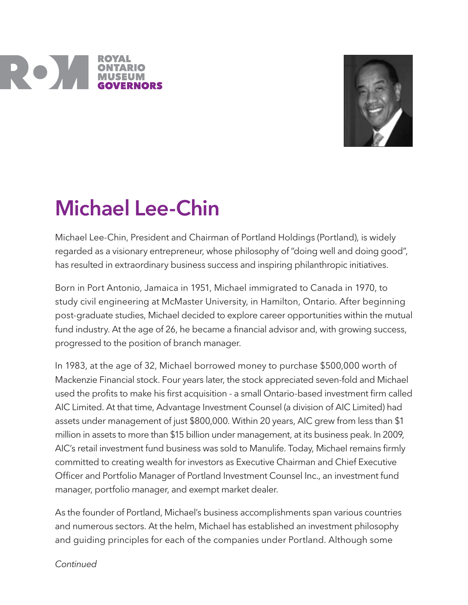



## Michael Lee-Chin

Michael Lee-Chin, President and Chairman of Portland Holdings (Portland), is widely regarded as a visionary entrepreneur, whose philosophy of "doing well and doing good", has resulted in extraordinary business success and inspiring philanthropic initiatives.

Born in Port Antonio, Jamaica in 1951, Michael immigrated to Canada in 1970, to study civil engineering at McMaster University, in Hamilton, Ontario. After beginning post-graduate studies, Michael decided to explore career opportunities within the mutual fund industry. At the age of 26, he became a financial advisor and, with growing success, progressed to the position of branch manager.

In 1983, at the age of 32, Michael borrowed money to purchase \$500,000 worth of Mackenzie Financial stock. Four years later, the stock appreciated seven-fold and Michael used the profits to make his first acquisition - a small Ontario-based investment firm called AIC Limited. At that time, Advantage Investment Counsel (a division of AIC Limited) had assets under management of just \$800,000. Within 20 years, AIC grew from less than \$1 million in assets to more than \$15 billion under management, at its business peak. In 2009, AIC's retail investment fund business was sold to Manulife. Today, Michael remains firmly committed to creating wealth for investors as Executive Chairman and Chief Executive Officer and Portfolio Manager of Portland Investment Counsel Inc., an investment fund manager, portfolio manager, and exempt market dealer.

As the founder of Portland, Michael's business accomplishments span various countries and numerous sectors. At the helm, Michael has established an investment philosophy and guiding principles for each of the companies under Portland. Although some

**Continued**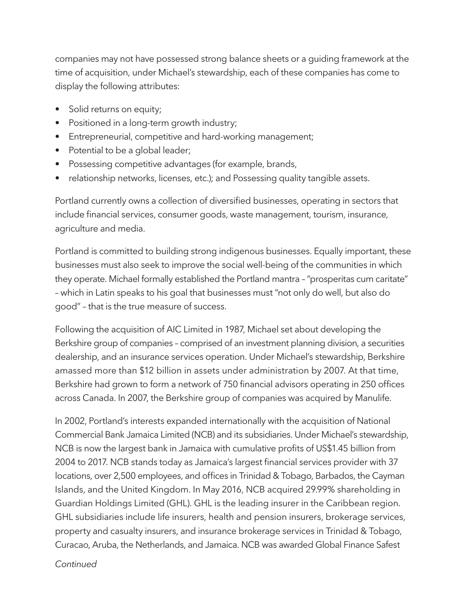companies may not have possessed strong balance sheets or a guiding framework at the time of acquisition, under Michael's stewardship, each of these companies has come to display the following attributes:

- Solid returns on equity;
- Positioned in a long-term growth industry;
- Entrepreneurial, competitive and hard-working management;
- Potential to be a global leader;
- Possessing competitive advantages (for example, brands,
- relationship networks, licenses, etc.); and Possessing quality tangible assets.

Portland currently owns a collection of diversified businesses, operating in sectors that include financial services, consumer goods, waste management, tourism, insurance, agriculture and media.

Portland is committed to building strong indigenous businesses. Equally important, these businesses must also seek to improve the social well-being of the communities in which they operate. Michael formally established the Portland mantra – "prosperitas cum caritate" – which in Latin speaks to his goal that businesses must "not only do well, but also do good" – that is the true measure of success.

Following the acquisition of AIC Limited in 1987, Michael set about developing the Berkshire group of companies – comprised of an investment planning division, a securities dealership, and an insurance services operation. Under Michael's stewardship, Berkshire amassed more than \$12 billion in assets under administration by 2007. At that time, Berkshire had grown to form a network of 750 financial advisors operating in 250 offices across Canada. In 2007, the Berkshire group of companies was acquired by Manulife.

In 2002, Portland's interests expanded internationally with the acquisition of National Commercial Bank Jamaica Limited (NCB) and its subsidiaries. Under Michael's stewardship, NCB is now the largest bank in Jamaica with cumulative profits of US\$1.45 billion from 2004 to 2017. NCB stands today as Jamaica's largest financial services provider with 37 locations, over 2,500 employees, and offices in Trinidad & Tobago, Barbados, the Cayman Islands, and the United Kingdom. In May 2016, NCB acquired 29.99% shareholding in Guardian Holdings Limited (GHL). GHL is the leading insurer in the Caribbean region. GHL subsidiaries include life insurers, health and pension insurers, brokerage services, property and casualty insurers, and insurance brokerage services in Trinidad & Tobago, Curacao, Aruba, the Netherlands, and Jamaica. NCB was awarded Global Finance Safest

**Continued**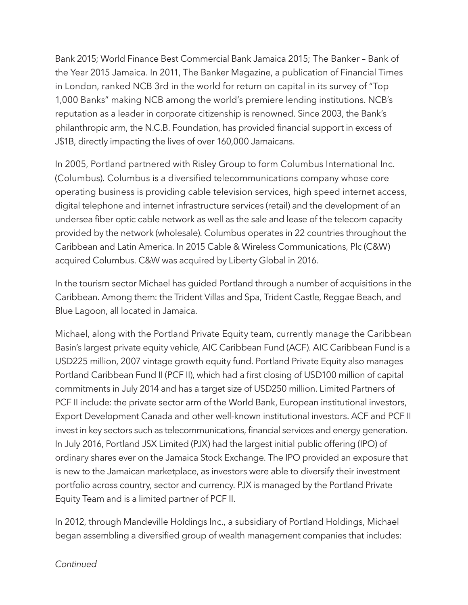Bank 2015; World Finance Best Commercial Bank Jamaica 2015; The Banker – Bank of the Year 2015 Jamaica. In 2011, The Banker Magazine, a publication of Financial Times in London, ranked NCB 3rd in the world for return on capital in its survey of "Top 1,000 Banks" making NCB among the world's premiere lending institutions. NCB's reputation as a leader in corporate citizenship is renowned. Since 2003, the Bank's philanthropic arm, the N.C.B. Foundation, has provided financial support in excess of J\$1B, directly impacting the lives of over 160,000 Jamaicans.

In 2005, Portland partnered with Risley Group to form Columbus International Inc. (Columbus). Columbus is a diversified telecommunications company whose core operating business is providing cable television services, high speed internet access, digital telephone and internet infrastructure services (retail) and the development of an undersea fiber optic cable network as well as the sale and lease of the telecom capacity provided by the network (wholesale). Columbus operates in 22 countries throughout the Caribbean and Latin America. In 2015 Cable & Wireless Communications, Plc (C&W) acquired Columbus. C&W was acquired by Liberty Global in 2016.

In the tourism sector Michael has guided Portland through a number of acquisitions in the Caribbean. Among them: the Trident Villas and Spa, Trident Castle, Reggae Beach, and Blue Lagoon, all located in Jamaica.

Michael, along with the Portland Private Equity team, currently manage the Caribbean Basin's largest private equity vehicle, AIC Caribbean Fund (ACF). AIC Caribbean Fund is a USD225 million, 2007 vintage growth equity fund. Portland Private Equity also manages Portland Caribbean Fund II (PCF II), which had a first closing of USD100 million of capital commitments in July 2014 and has a target size of USD250 million. Limited Partners of PCF II include: the private sector arm of the World Bank, European institutional investors, Export Development Canada and other well-known institutional investors. ACF and PCF II invest in key sectors such as telecommunications, financial services and energy generation. In July 2016, Portland JSX Limited (PJX) had the largest initial public offering (IPO) of ordinary shares ever on the Jamaica Stock Exchange. The IPO provided an exposure that is new to the Jamaican marketplace, as investors were able to diversify their investment portfolio across country, sector and currency. PJX is managed by the Portland Private Equity Team and is a limited partner of PCF II.

In 2012, through Mandeville Holdings Inc., a subsidiary of Portland Holdings, Michael began assembling a diversified group of wealth management companies that includes: